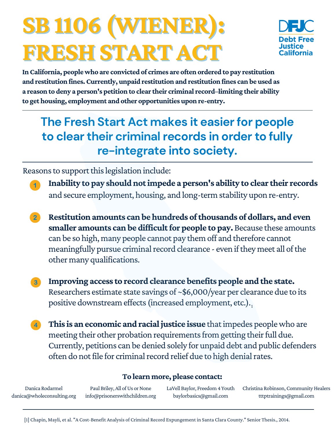# **SB1106 (WIENER): FRESHSTARTACT**



**InCalifornia, peoplewho are convicted of crimes are oftenordered to pay restitution and restitutionfines.Currently, unpaid restitutionand restitutionfines canbe used as a reasonto deny a person's petitionto clear their criminal record–limiting their ability to gethousing, employment and other opportunities uponre-entry.**

## **The Fresh Start Act makes it easier for people to clear their criminalrecords in order to fully re-integrate into society.**

#### Reasons to support this legislation include:

- **Inability to pay shouldnotimpede a person's ability to clear their records** and secure employment, housing, and long-term stability upon re-entry.
- **Restitutionamounts canbehundreds ofthousands of dollars, and even**  $\overline{2}$ **smaller amounts canbe difficultfor people to pay.** Because these amounts can be so high, many people cannot pay them off and therefore cannot meaningfully pursue criminal record clearance - even if they meet all of the other many qualifications.
- **Improving access to record clearance benefits people and the state.**  $3<sup>1</sup>$ Researchers estimate state savings of ~\$6,000/year per clearance due to its positive downstream effects(increased employment, etc.). 1
- **This is aneconomic and racialjustice issue** thatimpedes peoplewho are meeting their other probation requirements from getting their full due. Currently, petitions can be denied solely for unpaid debt and public defenders often do not file for criminal record relief due to high denial rates.

#### **To learn more, please contact:**

Danica Rodarmel danica@wholeconsulting.org

Paul Briley, All of Us or None info@prisonerswithchildren.org LaVell Baylor, Freedom 4 Youth baylorbasics@gmail.com

Christina Robinson, Community Healers tttptrainings@gmail.com

[1] Chapin, Mayli, et al. "A Cost-Benefit Analysis of Criminal Record Expungement in Santa Clara County." Senior Thesis., 2014.